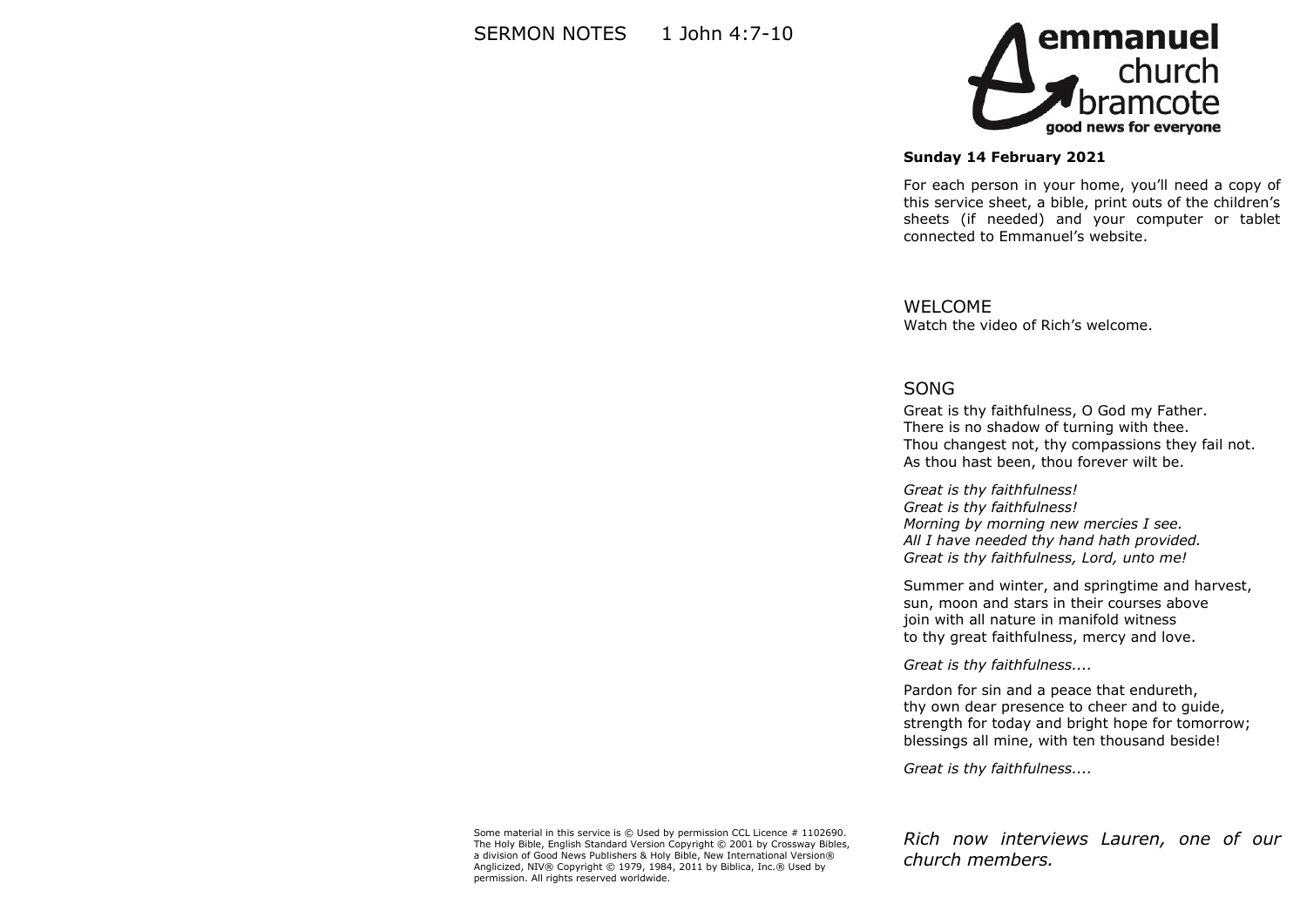

#### **Sunday 14 February 2021**

For each person in your home, you'll need a copy of this service sheet, a bible, print outs of the children's sheets (if needed) and your computer or tablet connected to Emmanuel's website.

WELCOME Watch the video of Rich's welcome.

### SONG

Great is thy faithfulness, O God my Father. There is no shadow of turning with thee. Thou changest not, thy compassions they fail not. As thou hast been, thou forever wilt be.

*Great is thy faithfulness! Great is thy faithfulness! Morning by morning new mercies I see. All I have needed thy hand hath provided. Great is thy faithfulness, Lord, unto me!*

Summer and winter, and springtime and harvest, sun, moon and stars in their courses above join with all nature in manifold witness to thy great faithfulness, mercy and love.

*Great is thy faithfulness....*

Pardon for sin and a peace that endureth, thy own dear presence to cheer and to guide, strength for today and bright hope for tomorrow; blessings all mine, with ten thousand beside!

*Great is thy faithfulness....*

Some material in this service is  $\odot$  Used by permission CCL Licence # 1102690. The Holy Bible, English Standard Version Copyright © 2001 by Crossway Bibles, a division of Good News Publishers & Holy Bible, New International Version® Anglicized, NIV® Copyright © 1979, 1984, 2011 by Biblica, Inc.® Used by permission. All rights reserved worldwide.

*Rich now interviews Lauren, one of our church members.*